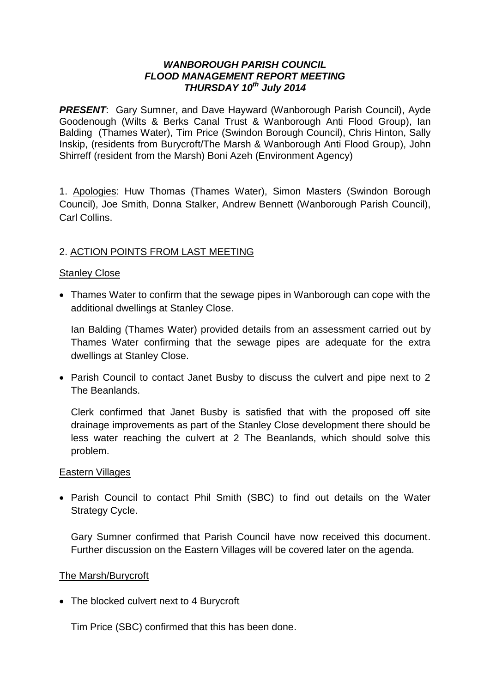#### *WANBOROUGH PARISH COUNCIL FLOOD MANAGEMENT REPORT MEETING THURSDAY 10th July 2014*

**PRESENT:** Gary Sumner, and Dave Hayward (Wanborough Parish Council), Ayde Goodenough (Wilts & Berks Canal Trust & Wanborough Anti Flood Group), Ian Balding (Thames Water), Tim Price (Swindon Borough Council), Chris Hinton, Sally Inskip, (residents from Burycroft/The Marsh & Wanborough Anti Flood Group), John Shirreff (resident from the Marsh) Boni Azeh (Environment Agency)

1. Apologies: Huw Thomas (Thames Water), Simon Masters (Swindon Borough Council), Joe Smith, Donna Stalker, Andrew Bennett (Wanborough Parish Council), Carl Collins.

## 2. ACTION POINTS FROM LAST MEETING

#### Stanley Close

 Thames Water to confirm that the sewage pipes in Wanborough can cope with the additional dwellings at Stanley Close.

Ian Balding (Thames Water) provided details from an assessment carried out by Thames Water confirming that the sewage pipes are adequate for the extra dwellings at Stanley Close.

 Parish Council to contact Janet Busby to discuss the culvert and pipe next to 2 The Beanlands.

Clerk confirmed that Janet Busby is satisfied that with the proposed off site drainage improvements as part of the Stanley Close development there should be less water reaching the culvert at 2 The Beanlands, which should solve this problem.

#### Eastern Villages

 Parish Council to contact Phil Smith (SBC) to find out details on the Water Strategy Cycle.

Gary Sumner confirmed that Parish Council have now received this document. Further discussion on the Eastern Villages will be covered later on the agenda.

#### The Marsh/Burycroft

• The blocked culvert next to 4 Burvcroft

Tim Price (SBC) confirmed that this has been done.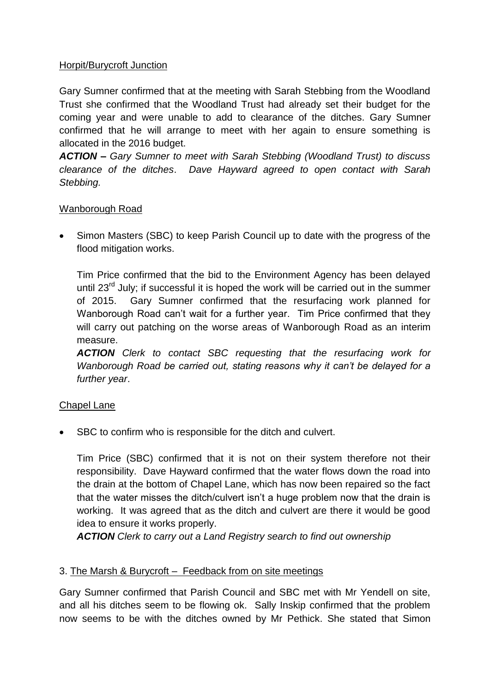## Horpit/Burycroft Junction

Gary Sumner confirmed that at the meeting with Sarah Stebbing from the Woodland Trust she confirmed that the Woodland Trust had already set their budget for the coming year and were unable to add to clearance of the ditches. Gary Sumner confirmed that he will arrange to meet with her again to ensure something is allocated in the 2016 budget.

*ACTION – Gary Sumner to meet with Sarah Stebbing (Woodland Trust) to discuss clearance of the ditches*. *Dave Hayward agreed to open contact with Sarah Stebbing.*

## Wanborough Road

• Simon Masters (SBC) to keep Parish Council up to date with the progress of the flood mitigation works.

Tim Price confirmed that the bid to the Environment Agency has been delayed until 23<sup>rd</sup> July; if successful it is hoped the work will be carried out in the summer of 2015. Gary Sumner confirmed that the resurfacing work planned for Wanborough Road can't wait for a further year. Tim Price confirmed that they will carry out patching on the worse areas of Wanborough Road as an interim measure.

*ACTION Clerk to contact SBC requesting that the resurfacing work for Wanborough Road be carried out, stating reasons why it can't be delayed for a further year*.

## Chapel Lane

• SBC to confirm who is responsible for the ditch and culvert.

Tim Price (SBC) confirmed that it is not on their system therefore not their responsibility. Dave Hayward confirmed that the water flows down the road into the drain at the bottom of Chapel Lane, which has now been repaired so the fact that the water misses the ditch/culvert isn't a huge problem now that the drain is working. It was agreed that as the ditch and culvert are there it would be good idea to ensure it works properly.

*ACTION Clerk to carry out a Land Registry search to find out ownership* 

## 3. The Marsh & Burycroft – Feedback from on site meetings

Gary Sumner confirmed that Parish Council and SBC met with Mr Yendell on site, and all his ditches seem to be flowing ok. Sally Inskip confirmed that the problem now seems to be with the ditches owned by Mr Pethick. She stated that Simon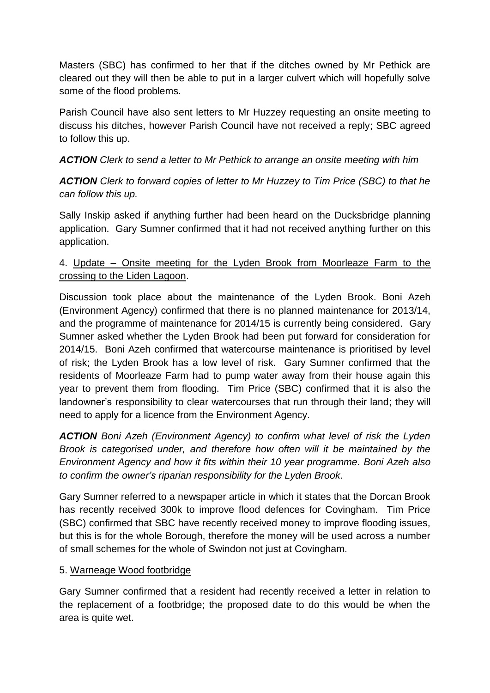Masters (SBC) has confirmed to her that if the ditches owned by Mr Pethick are cleared out they will then be able to put in a larger culvert which will hopefully solve some of the flood problems.

Parish Council have also sent letters to Mr Huzzey requesting an onsite meeting to discuss his ditches, however Parish Council have not received a reply; SBC agreed to follow this up.

*ACTION Clerk to send a letter to Mr Pethick to arrange an onsite meeting with him*

*ACTION Clerk to forward copies of letter to Mr Huzzey to Tim Price (SBC) to that he can follow this up.*

Sally Inskip asked if anything further had been heard on the Ducksbridge planning application. Gary Sumner confirmed that it had not received anything further on this application.

# 4. Update – Onsite meeting for the Lyden Brook from Moorleaze Farm to the crossing to the Liden Lagoon.

Discussion took place about the maintenance of the Lyden Brook. Boni Azeh (Environment Agency) confirmed that there is no planned maintenance for 2013/14, and the programme of maintenance for 2014/15 is currently being considered. Gary Sumner asked whether the Lyden Brook had been put forward for consideration for 2014/15. Boni Azeh confirmed that watercourse maintenance is prioritised by level of risk; the Lyden Brook has a low level of risk. Gary Sumner confirmed that the residents of Moorleaze Farm had to pump water away from their house again this year to prevent them from flooding. Tim Price (SBC) confirmed that it is also the landowner's responsibility to clear watercourses that run through their land; they will need to apply for a licence from the Environment Agency.

*ACTION Boni Azeh (Environment Agency) to confirm what level of risk the Lyden Brook is categorised under, and therefore how often will it be maintained by the Environment Agency and how it fits within their 10 year programme. Boni Azeh also to confirm the owner's riparian responsibility for the Lyden Brook*.

Gary Sumner referred to a newspaper article in which it states that the Dorcan Brook has recently received 300k to improve flood defences for Covingham. Tim Price (SBC) confirmed that SBC have recently received money to improve flooding issues, but this is for the whole Borough, therefore the money will be used across a number of small schemes for the whole of Swindon not just at Covingham.

## 5. Warneage Wood footbridge

Gary Sumner confirmed that a resident had recently received a letter in relation to the replacement of a footbridge; the proposed date to do this would be when the area is quite wet.